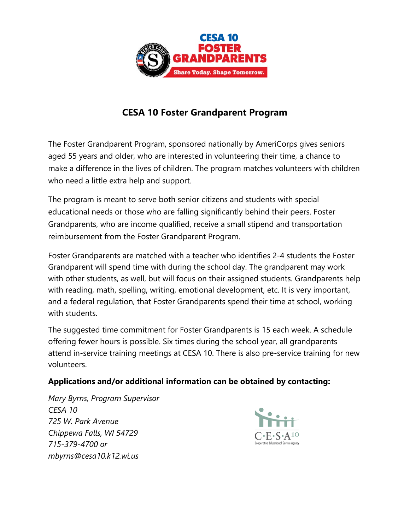

## **CESA 10 Foster Grandparent Program**

The Foster Grandparent Program, sponsored nationally by AmeriCorps gives seniors aged 55 years and older, who are interested in volunteering their time, a chance to make a difference in the lives of children. The program matches volunteers with children who need a little extra help and support.

The program is meant to serve both senior citizens and students with special educational needs or those who are falling significantly behind their peers. Foster Grandparents, who are income qualified, receive a small stipend and transportation reimbursement from the Foster Grandparent Program.

Foster Grandparents are matched with a teacher who identifies 2-4 students the Foster Grandparent will spend time with during the school day. The grandparent may work with other students, as well, but will focus on their assigned students. Grandparents help with reading, math, spelling, writing, emotional development, etc. It is very important, and a federal regulation, that Foster Grandparents spend their time at school, working with students.

The suggested time commitment for Foster Grandparents is 15 each week. A schedule offering fewer hours is possible. Six times during the school year, all grandparents attend in-service training meetings at CESA 10. There is also pre-service training for new volunteers.

## **Applications and/or additional information can be obtained by contacting:**

*Mary Byrns, Program Supervisor CESA 10 725 W. Park Avenue Chippewa Falls, WI 54729 715-379-4700 or mbyrns@cesa10.k12.wi.us*